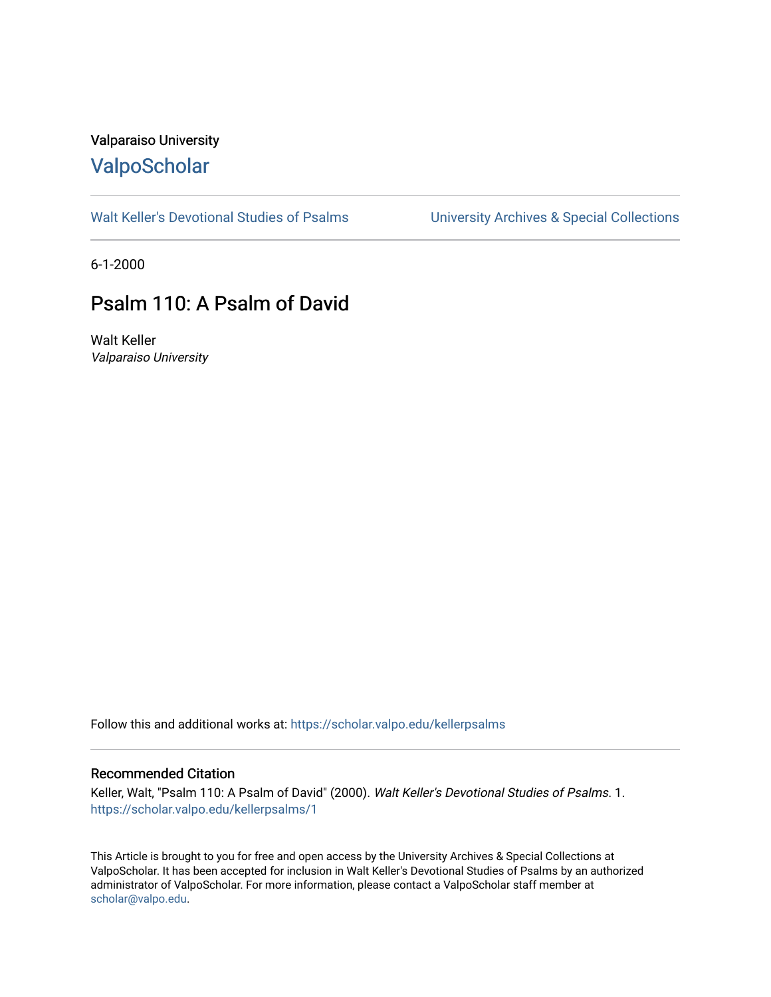# Valparaiso University [ValpoScholar](https://scholar.valpo.edu/)

[Walt Keller's Devotional Studies of Psalms](https://scholar.valpo.edu/kellerpsalms) University Archives & Special Collections

6-1-2000

# Psalm 110: A Psalm of David

Walt Keller Valparaiso University

Follow this and additional works at: [https://scholar.valpo.edu/kellerpsalms](https://scholar.valpo.edu/kellerpsalms?utm_source=scholar.valpo.edu%2Fkellerpsalms%2F1&utm_medium=PDF&utm_campaign=PDFCoverPages) 

#### Recommended Citation

Keller, Walt, "Psalm 110: A Psalm of David" (2000). Walt Keller's Devotional Studies of Psalms. 1. [https://scholar.valpo.edu/kellerpsalms/1](https://scholar.valpo.edu/kellerpsalms/1?utm_source=scholar.valpo.edu%2Fkellerpsalms%2F1&utm_medium=PDF&utm_campaign=PDFCoverPages) 

This Article is brought to you for free and open access by the University Archives & Special Collections at ValpoScholar. It has been accepted for inclusion in Walt Keller's Devotional Studies of Psalms by an authorized administrator of ValpoScholar. For more information, please contact a ValpoScholar staff member at [scholar@valpo.edu](mailto:scholar@valpo.edu).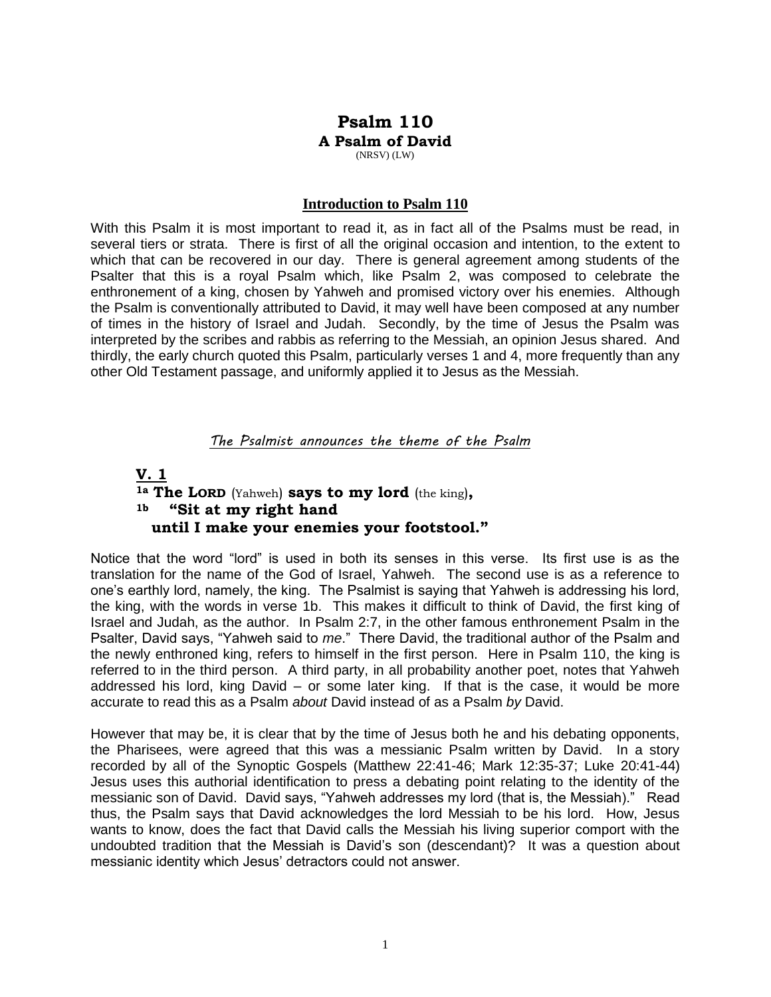# **Psalm 110 A Psalm of David** (NRSV) (LW)

#### **Introduction to Psalm 110**

With this Psalm it is most important to read it, as in fact all of the Psalms must be read, in several tiers or strata. There is first of all the original occasion and intention, to the extent to which that can be recovered in our day. There is general agreement among students of the Psalter that this is a royal Psalm which, like Psalm 2, was composed to celebrate the enthronement of a king, chosen by Yahweh and promised victory over his enemies. Although the Psalm is conventionally attributed to David, it may well have been composed at any number of times in the history of Israel and Judah. Secondly, by the time of Jesus the Psalm was interpreted by the scribes and rabbis as referring to the Messiah, an opinion Jesus shared. And thirdly, the early church quoted this Psalm, particularly verses 1 and 4, more frequently than any other Old Testament passage, and uniformly applied it to Jesus as the Messiah.

### *The Psalmist announces the theme of the Psalm*

## **V. 1** **1a The LORD** (Yahweh) **says to my lord** (the king)**, 1b "Sit at my right hand until I make your enemies your footstool."**

Notice that the word "lord" is used in both its senses in this verse. Its first use is as the translation for the name of the God of Israel, Yahweh. The second use is as a reference to one's earthly lord, namely, the king. The Psalmist is saying that Yahweh is addressing his lord, the king, with the words in verse 1b. This makes it difficult to think of David, the first king of Israel and Judah, as the author. In Psalm 2:7, in the other famous enthronement Psalm in the Psalter, David says, "Yahweh said to *me*." There David, the traditional author of the Psalm and the newly enthroned king, refers to himself in the first person. Here in Psalm 110, the king is referred to in the third person. A third party, in all probability another poet, notes that Yahweh addressed his lord, king David – or some later king. If that is the case, it would be more accurate to read this as a Psalm *about* David instead of as a Psalm *by* David.

However that may be, it is clear that by the time of Jesus both he and his debating opponents, the Pharisees, were agreed that this was a messianic Psalm written by David. In a story recorded by all of the Synoptic Gospels (Matthew 22:41-46; Mark 12:35-37; Luke 20:41-44) Jesus uses this authorial identification to press a debating point relating to the identity of the messianic son of David. David says, "Yahweh addresses my lord (that is, the Messiah)." Read thus, the Psalm says that David acknowledges the lord Messiah to be his lord. How, Jesus wants to know, does the fact that David calls the Messiah his living superior comport with the undoubted tradition that the Messiah is David's son (descendant)? It was a question about messianic identity which Jesus' detractors could not answer.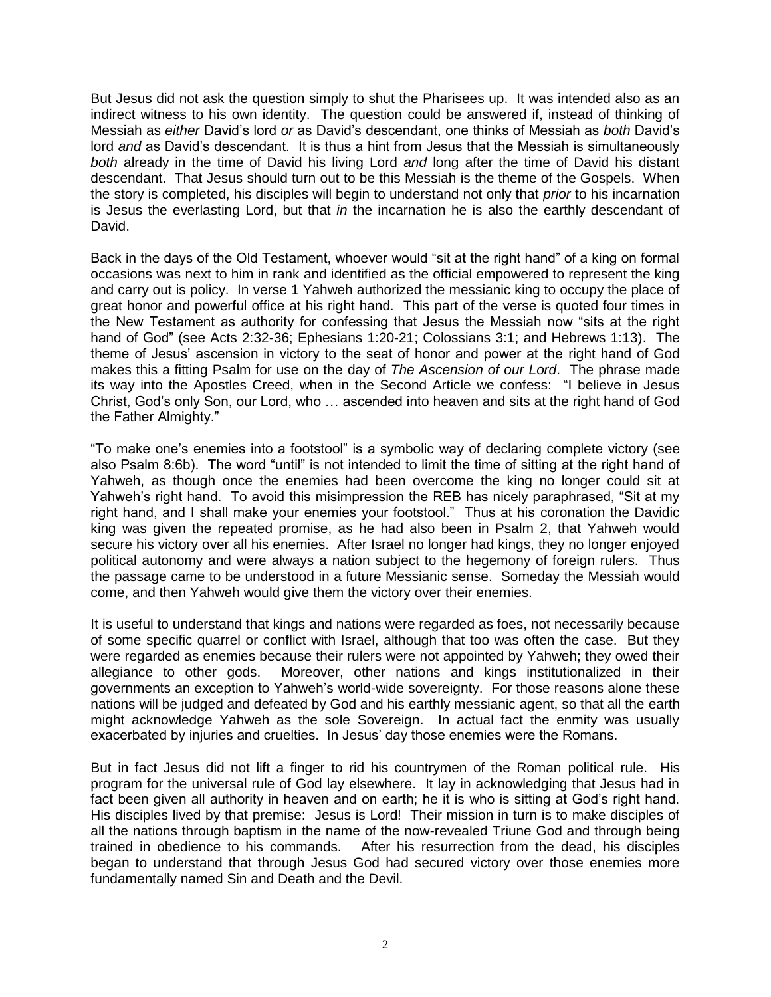But Jesus did not ask the question simply to shut the Pharisees up. It was intended also as an indirect witness to his own identity. The question could be answered if, instead of thinking of Messiah as *either* David's lord *or* as David's descendant, one thinks of Messiah as *both* David's lord *and* as David's descendant. It is thus a hint from Jesus that the Messiah is simultaneously *both* already in the time of David his living Lord *and* long after the time of David his distant descendant. That Jesus should turn out to be this Messiah is the theme of the Gospels. When the story is completed, his disciples will begin to understand not only that *prior* to his incarnation is Jesus the everlasting Lord, but that *in* the incarnation he is also the earthly descendant of David.

Back in the days of the Old Testament, whoever would "sit at the right hand" of a king on formal occasions was next to him in rank and identified as the official empowered to represent the king and carry out is policy. In verse 1 Yahweh authorized the messianic king to occupy the place of great honor and powerful office at his right hand. This part of the verse is quoted four times in the New Testament as authority for confessing that Jesus the Messiah now "sits at the right hand of God" (see Acts 2:32-36; Ephesians 1:20-21; Colossians 3:1; and Hebrews 1:13). The theme of Jesus' ascension in victory to the seat of honor and power at the right hand of God makes this a fitting Psalm for use on the day of *The Ascension of our Lord*. The phrase made its way into the Apostles Creed, when in the Second Article we confess: "I believe in Jesus Christ, God's only Son, our Lord, who … ascended into heaven and sits at the right hand of God the Father Almighty."

"To make one's enemies into a footstool" is a symbolic way of declaring complete victory (see also Psalm 8:6b). The word "until" is not intended to limit the time of sitting at the right hand of Yahweh, as though once the enemies had been overcome the king no longer could sit at Yahweh's right hand. To avoid this misimpression the REB has nicely paraphrased, "Sit at my right hand, and I shall make your enemies your footstool." Thus at his coronation the Davidic king was given the repeated promise, as he had also been in Psalm 2, that Yahweh would secure his victory over all his enemies. After Israel no longer had kings, they no longer enjoyed political autonomy and were always a nation subject to the hegemony of foreign rulers. Thus the passage came to be understood in a future Messianic sense. Someday the Messiah would come, and then Yahweh would give them the victory over their enemies.

It is useful to understand that kings and nations were regarded as foes, not necessarily because of some specific quarrel or conflict with Israel, although that too was often the case. But they were regarded as enemies because their rulers were not appointed by Yahweh; they owed their allegiance to other gods. Moreover, other nations and kings institutionalized in their governments an exception to Yahweh's world-wide sovereignty. For those reasons alone these nations will be judged and defeated by God and his earthly messianic agent, so that all the earth might acknowledge Yahweh as the sole Sovereign. In actual fact the enmity was usually exacerbated by injuries and cruelties. In Jesus' day those enemies were the Romans.

But in fact Jesus did not lift a finger to rid his countrymen of the Roman political rule. His program for the universal rule of God lay elsewhere. It lay in acknowledging that Jesus had in fact been given all authority in heaven and on earth; he it is who is sitting at God's right hand. His disciples lived by that premise: Jesus is Lord! Their mission in turn is to make disciples of all the nations through baptism in the name of the now-revealed Triune God and through being trained in obedience to his commands. After his resurrection from the dead, his disciples began to understand that through Jesus God had secured victory over those enemies more fundamentally named Sin and Death and the Devil.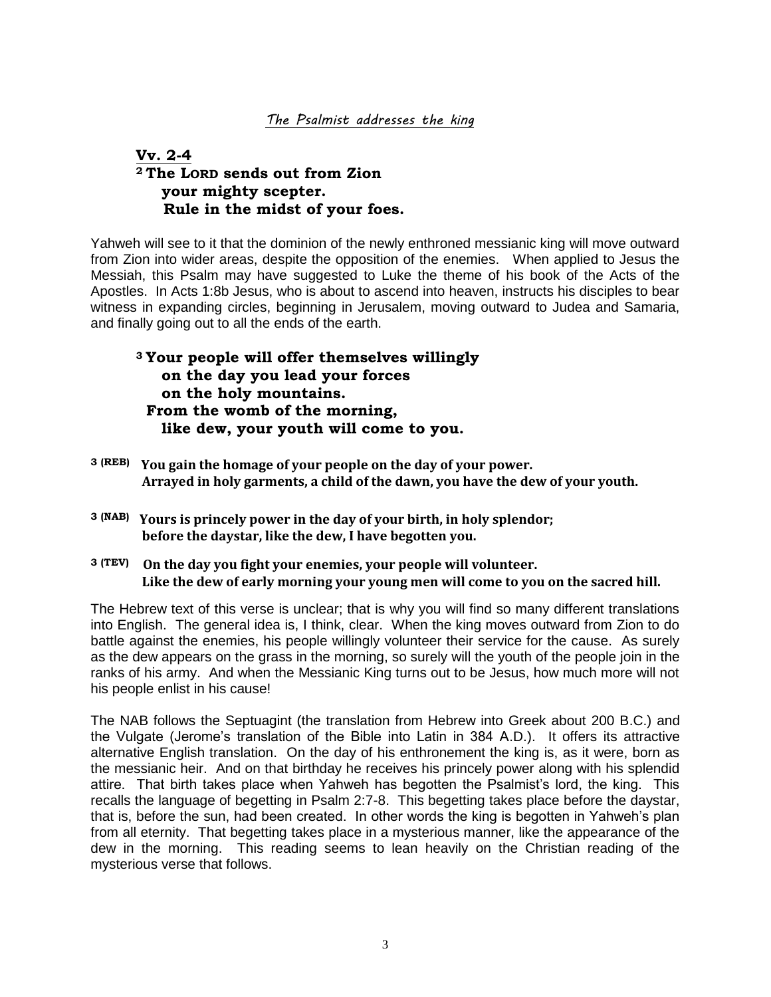### *The Psalmist addresses the king*

# **Vv. 2-4 <sup>2</sup> The LORD sends out from Zion your mighty scepter. Rule in the midst of your foes.**

Yahweh will see to it that the dominion of the newly enthroned messianic king will move outward from Zion into wider areas, despite the opposition of the enemies. When applied to Jesus the Messiah, this Psalm may have suggested to Luke the theme of his book of the Acts of the Apostles. In Acts 1:8b Jesus, who is about to ascend into heaven, instructs his disciples to bear witness in expanding circles, beginning in Jerusalem, moving outward to Judea and Samaria, and finally going out to all the ends of the earth.

# **<sup>3</sup> Your people will offer themselves willingly on the day you lead your forces on the holy mountains. From the womb of the morning, like dew, your youth will come to you.**

- **3 (REB) You gain the homage of your people on the day of your power. Arrayed in holy garments, a child of the dawn, you have the dew of your youth.**
- **3 (NAB) Yours is princely power in the day of your birth, in holy splendor; before the daystar, like the dew, I have begotten you.**
- **3 (TEV) On the day you fight your enemies, your people will volunteer. Like the dew of early morning your young men will come to you on the sacred hill.**

The Hebrew text of this verse is unclear; that is why you will find so many different translations into English. The general idea is, I think, clear. When the king moves outward from Zion to do battle against the enemies, his people willingly volunteer their service for the cause. As surely as the dew appears on the grass in the morning, so surely will the youth of the people join in the ranks of his army. And when the Messianic King turns out to be Jesus, how much more will not his people enlist in his cause!

The NAB follows the Septuagint (the translation from Hebrew into Greek about 200 B.C.) and the Vulgate (Jerome's translation of the Bible into Latin in 384 A.D.). It offers its attractive alternative English translation. On the day of his enthronement the king is, as it were, born as the messianic heir. And on that birthday he receives his princely power along with his splendid attire. That birth takes place when Yahweh has begotten the Psalmist's lord, the king. This recalls the language of begetting in Psalm 2:7-8. This begetting takes place before the daystar, that is, before the sun, had been created. In other words the king is begotten in Yahweh's plan from all eternity. That begetting takes place in a mysterious manner, like the appearance of the dew in the morning. This reading seems to lean heavily on the Christian reading of the mysterious verse that follows.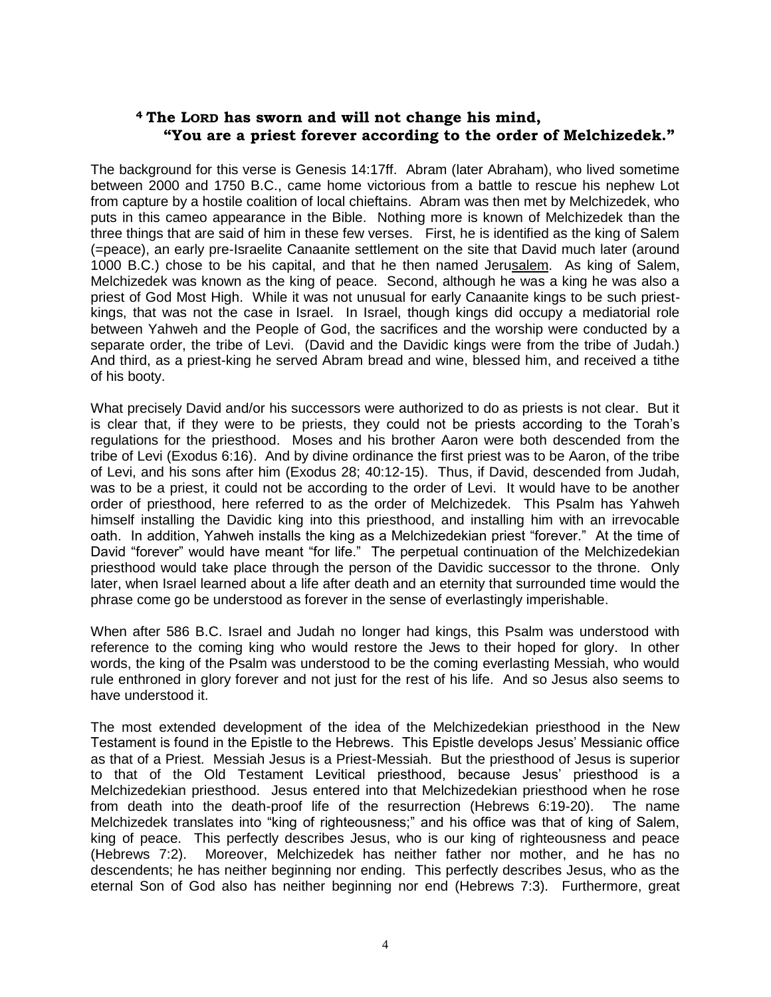### **<sup>4</sup>The LORD has sworn and will not change his mind, "You are a priest forever according to the order of Melchizedek."**

The background for this verse is Genesis 14:17ff. Abram (later Abraham), who lived sometime between 2000 and 1750 B.C., came home victorious from a battle to rescue his nephew Lot from capture by a hostile coalition of local chieftains. Abram was then met by Melchizedek, who puts in this cameo appearance in the Bible. Nothing more is known of Melchizedek than the three things that are said of him in these few verses. First, he is identified as the king of Salem (=peace), an early pre-Israelite Canaanite settlement on the site that David much later (around 1000 B.C.) chose to be his capital, and that he then named Jerusalem. As king of Salem, Melchizedek was known as the king of peace. Second, although he was a king he was also a priest of God Most High. While it was not unusual for early Canaanite kings to be such priestkings, that was not the case in Israel. In Israel, though kings did occupy a mediatorial role between Yahweh and the People of God, the sacrifices and the worship were conducted by a separate order, the tribe of Levi. (David and the Davidic kings were from the tribe of Judah.) And third, as a priest-king he served Abram bread and wine, blessed him, and received a tithe of his booty.

What precisely David and/or his successors were authorized to do as priests is not clear. But it is clear that, if they were to be priests, they could not be priests according to the Torah's regulations for the priesthood. Moses and his brother Aaron were both descended from the tribe of Levi (Exodus 6:16). And by divine ordinance the first priest was to be Aaron, of the tribe of Levi, and his sons after him (Exodus 28; 40:12-15). Thus, if David, descended from Judah, was to be a priest, it could not be according to the order of Levi. It would have to be another order of priesthood, here referred to as the order of Melchizedek. This Psalm has Yahweh himself installing the Davidic king into this priesthood, and installing him with an irrevocable oath. In addition, Yahweh installs the king as a Melchizedekian priest "forever." At the time of David "forever" would have meant "for life." The perpetual continuation of the Melchizedekian priesthood would take place through the person of the Davidic successor to the throne. Only later, when Israel learned about a life after death and an eternity that surrounded time would the phrase come go be understood as forever in the sense of everlastingly imperishable.

When after 586 B.C. Israel and Judah no longer had kings, this Psalm was understood with reference to the coming king who would restore the Jews to their hoped for glory. In other words, the king of the Psalm was understood to be the coming everlasting Messiah, who would rule enthroned in glory forever and not just for the rest of his life. And so Jesus also seems to have understood it.

The most extended development of the idea of the Melchizedekian priesthood in the New Testament is found in the Epistle to the Hebrews. This Epistle develops Jesus' Messianic office as that of a Priest. Messiah Jesus is a Priest-Messiah. But the priesthood of Jesus is superior to that of the Old Testament Levitical priesthood, because Jesus' priesthood is a Melchizedekian priesthood. Jesus entered into that Melchizedekian priesthood when he rose from death into the death-proof life of the resurrection (Hebrews 6:19-20). The name Melchizedek translates into "king of righteousness;" and his office was that of king of Salem, king of peace. This perfectly describes Jesus, who is our king of righteousness and peace (Hebrews 7:2). Moreover, Melchizedek has neither father nor mother, and he has no descendents; he has neither beginning nor ending. This perfectly describes Jesus, who as the eternal Son of God also has neither beginning nor end (Hebrews 7:3). Furthermore, great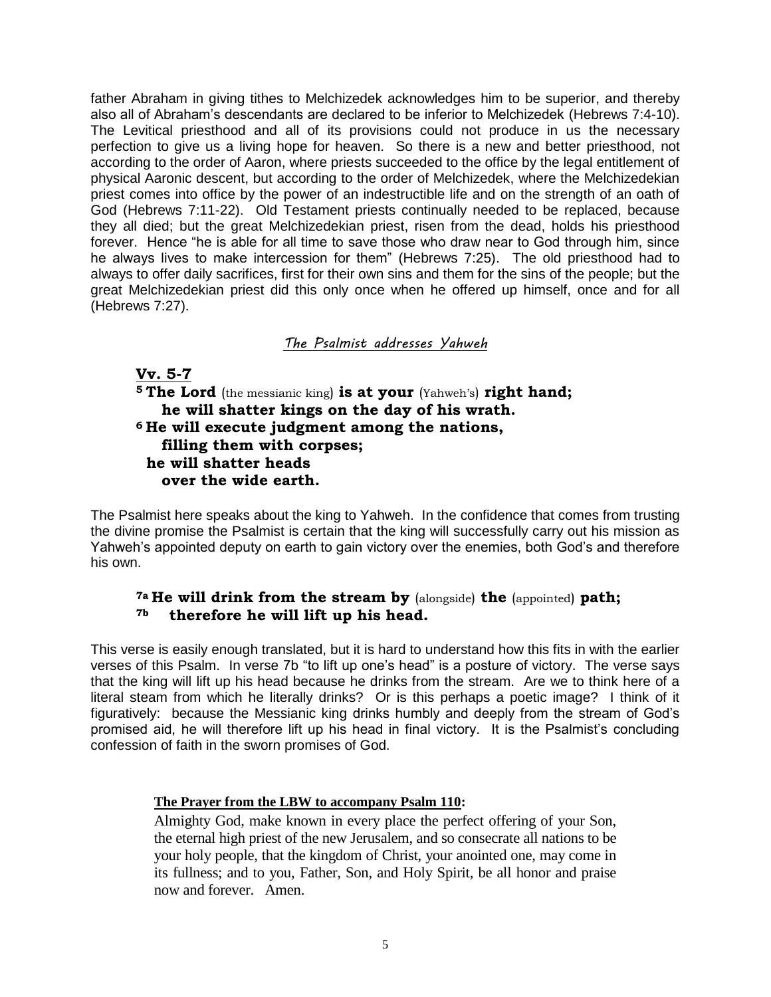father Abraham in giving tithes to Melchizedek acknowledges him to be superior, and thereby also all of Abraham's descendants are declared to be inferior to Melchizedek (Hebrews 7:4-10). The Levitical priesthood and all of its provisions could not produce in us the necessary perfection to give us a living hope for heaven. So there is a new and better priesthood, not according to the order of Aaron, where priests succeeded to the office by the legal entitlement of physical Aaronic descent, but according to the order of Melchizedek, where the Melchizedekian priest comes into office by the power of an indestructible life and on the strength of an oath of God (Hebrews 7:11-22). Old Testament priests continually needed to be replaced, because they all died; but the great Melchizedekian priest, risen from the dead, holds his priesthood forever. Hence "he is able for all time to save those who draw near to God through him, since he always lives to make intercession for them" (Hebrews 7:25). The old priesthood had to always to offer daily sacrifices, first for their own sins and them for the sins of the people; but the great Melchizedekian priest did this only once when he offered up himself, once and for all (Hebrews 7:27).

## *The Psalmist addresses Yahweh*

### **Vv. 5-7**

**<sup>5</sup> The Lord** (the messianic king) **is at your** (Yahweh's) **right hand; he will shatter kings on the day of his wrath. <sup>6</sup> He will execute judgment among the nations, filling them with corpses; he will shatter heads over the wide earth.** 

The Psalmist here speaks about the king to Yahweh. In the confidence that comes from trusting the divine promise the Psalmist is certain that the king will successfully carry out his mission as Yahweh's appointed deputy on earth to gain victory over the enemies, both God's and therefore his own.

### **7a He will drink from the stream by** (alongside) **the** (appointed) **path; 7b therefore he will lift up his head.**

This verse is easily enough translated, but it is hard to understand how this fits in with the earlier verses of this Psalm. In verse 7b "to lift up one's head" is a posture of victory. The verse says that the king will lift up his head because he drinks from the stream. Are we to think here of a literal steam from which he literally drinks? Or is this perhaps a poetic image? I think of it figuratively: because the Messianic king drinks humbly and deeply from the stream of God's promised aid, he will therefore lift up his head in final victory. It is the Psalmist's concluding confession of faith in the sworn promises of God.

### **The Prayer from the LBW to accompany Psalm 110:**

Almighty God, make known in every place the perfect offering of your Son, the eternal high priest of the new Jerusalem, and so consecrate all nations to be your holy people, that the kingdom of Christ, your anointed one, may come in its fullness; and to you, Father, Son, and Holy Spirit, be all honor and praise now and forever. Amen.